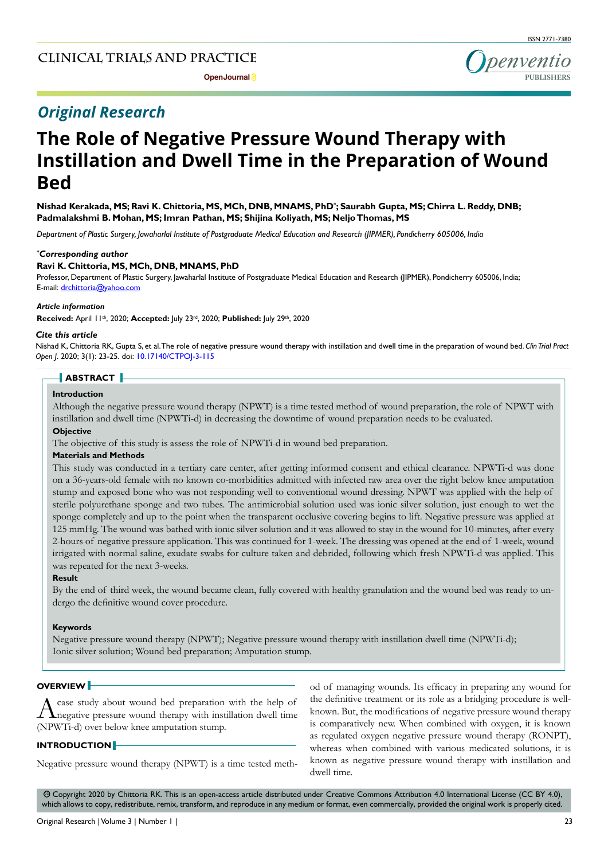# **Clinical trials and practice**

# *Original Research*

# **The Role of Negative Pressure Wound Therapy with Instillation and Dwell Time in the Preparation of Wound Bed**

**Nishad Kerakada, MS; Ravi K. Chittoria, MS, MCh, DNB, MNAMS, PhD\* ; Saurabh Gupta, MS; Chirra L. Reddy, DNB; Padmalakshmi B. Mohan, MS; Imran Pathan, MS; Shijina Koliyath, MS; Neljo Thomas, MS** 

*Department of Plastic Surgery, Jawaharlal Institute of Postgraduate Medical Education and Research (JIPMER), Pondicherry 605006, India*

#### *\* Corresponding author*

### **Ravi K. Chittoria, MS, MCh, DNB, MNAMS, PhD**

Professor, Department of Plastic Surgery, Jawaharlal Institute of Postgraduate Medical Education and Research (JIPMER), Pondicherry 605006, India; E-mail: drchittoria@yahoo.com

# *Article information*

**Received:** April 11th, 2020; **Accepted:** July 23rd, 2020; **Published:** July 29th, 2020

#### *Cite this article*

Nishad K, Chittoria RK, Gupta S, et al. The role of negative pressure wound therapy with instillation and dwell time in the preparation of wound bed. *Clin Trial Pract Open J*. 2020; 3(1): 23-25. doi: [10.17140/CTPOJ-3-115](http://dx.doi.org/10.17140/CTPOJ-3-115)

## **ABSTRACT**

# **Introduction**

Although the negative pressure wound therapy (NPWT) is a time tested method of wound preparation, the role of NPWT with instillation and dwell time (NPWTi-d) in decreasing the downtime of wound preparation needs to be evaluated.

# **Objective**

The objective of this study is assess the role of NPWTi-d in wound bed preparation.

# **Materials and Methods**

This study was conducted in a tertiary care center, after getting informed consent and ethical clearance. NPWTi-d was done on a 36-years-old female with no known co-morbidities admitted with infected raw area over the right below knee amputation stump and exposed bone who was not responding well to conventional wound dressing. NPWT was applied with the help of sterile polyurethane sponge and two tubes. The antimicrobial solution used was ionic silver solution, just enough to wet the sponge completely and up to the point when the transparent occlusive covering begins to lift. Negative pressure was applied at 125 mmHg. The wound was bathed with ionic silver solution and it was allowed to stay in the wound for 10-minutes, after every 2-hours of negative pressure application. This was continued for 1-week. The dressing was opened at the end of 1-week, wound irrigated with normal saline, exudate swabs for culture taken and debrided, following which fresh NPWTi-d was applied. This was repeated for the next 3-weeks.

#### **Result**

By the end of third week, the wound became clean, fully covered with healthy granulation and the wound bed was ready to undergo the definitive wound cover procedure.

#### **Keywords**

Negative pressure wound therapy (NPWT); Negative pressure wound therapy with instillation dwell time (NPWTi-d); Ionic silver solution; Wound bed preparation; Amputation stump.

# **OVERVIEW**

A case study about wound bed preparation with the help of negative pressure wound therapy with instillation dwell time (NPWTi-d) over below knee amputation stump.

## **INTRODUCTION**

Negative pressure wound therapy (NPWT) is a time tested meth-

od of managing wounds. Its efficacy in preparing any wound for the definitive treatment or its role as a bridging procedure is wellknown. But, the modifications of negative pressure wound therapy is comparatively new. When combined with oxygen, it is known as regulated oxygen negative pressure wound therapy (RONPT), whereas when combined with various medicated solutions, it is known as negative pressure wound therapy with instillation and dwell time.

 Copyright 2020 by Chittoria RK. This is an open-access article distributed under Creative Commons Attribution 4.0 International License (CC BY 4.0), cc which allows to copy, redistribute, remix, transform, and reproduce in any medium or format, even commercially, provided the original work is properly cited.

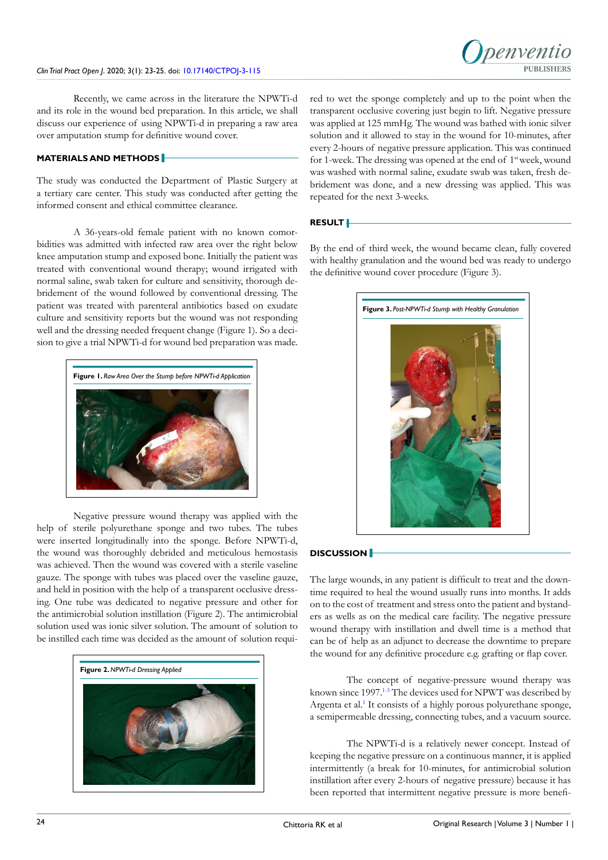

Recently, we came across in the literature the NPWTi-d and its role in the wound bed preparation. In this article, we shall discuss our experience of using NPWTi-d in preparing a raw area over amputation stump for definitive wound cover.

# **MATERIALS AND METHODS**

The study was conducted the Department of Plastic Surgery at a tertiary care center. This study was conducted after getting the informed consent and ethical committee clearance.

A 36-years-old female patient with no known comorbidities was admitted with infected raw area over the right below knee amputation stump and exposed bone. Initially the patient was treated with conventional wound therapy; wound irrigated with normal saline, swab taken for culture and sensitivity, thorough debridement of the wound followed by conventional dressing. The patient was treated with parenteral antibiotics based on exudate culture and sensitivity reports but the wound was not responding well and the dressing needed frequent change (Figure 1). So a decision to give a trial NPWTi-d for wound bed preparation was made.



Negative pressure wound therapy was applied with the help of sterile polyurethane sponge and two tubes. The tubes were inserted longitudinally into the sponge. Before NPWTi-d, the wound was thoroughly debrided and meticulous hemostasis was achieved. Then the wound was covered with a sterile vaseline gauze. The sponge with tubes was placed over the vaseline gauze, and held in position with the help of a transparent occlusive dressing. One tube was dedicated to negative pressure and other for the antimicrobial solution instillation (Figure 2). The antimicrobial solution used was ionic silver solution. The amount of solution to be instilled each time was decided as the amount of solution requi-



red to wet the sponge completely and up to the point when the transparent occlusive covering just begin to lift. Negative pressure was applied at 125 mmHg. The wound was bathed with ionic silver solution and it allowed to stay in the wound for 10-minutes, after every 2-hours of negative pressure application. This was continued for 1-week. The dressing was opened at the end of  $1<sup>st</sup>$  week, wound was washed with normal saline, exudate swab was taken, fresh debridement was done, and a new dressing was applied. This was repeated for the next 3-weeks.

# **RESULT**

By the end of third week, the wound became clean, fully covered with healthy granulation and the wound bed was ready to undergo the definitive wound cover procedure (Figure 3).



# **DISCUSSION**

The large wounds, in any patient is difficult to treat and the downtime required to heal the wound usually runs into months. It adds on to the cost of treatment and stress onto the patient and bystanders as wells as on the medical care facility. The negative pressure wound therapy with instillation and dwell time is a method that can be of help as an adjunct to decrease the downtime to prepare the wound for any definitive procedure e.g. grafting or flap cover.

The concept of negative-pressure wound therapy was known since 1997.<sup>1-3</sup> The devices used for NPWT was described by Argenta et al.<sup>1</sup> It consists of a highly porous polyurethane sponge, a semipermeable dressing, connecting tubes, and a vacuum source.

The NPWTi-d is a relatively newer concept. Instead of keeping the negative pressure on a continuous manner, it is applied intermittently (a break for 10-minutes, for antimicrobial solution instillation after every 2-hours of negative pressure) because it has been reported that intermittent negative pressure is more benefi